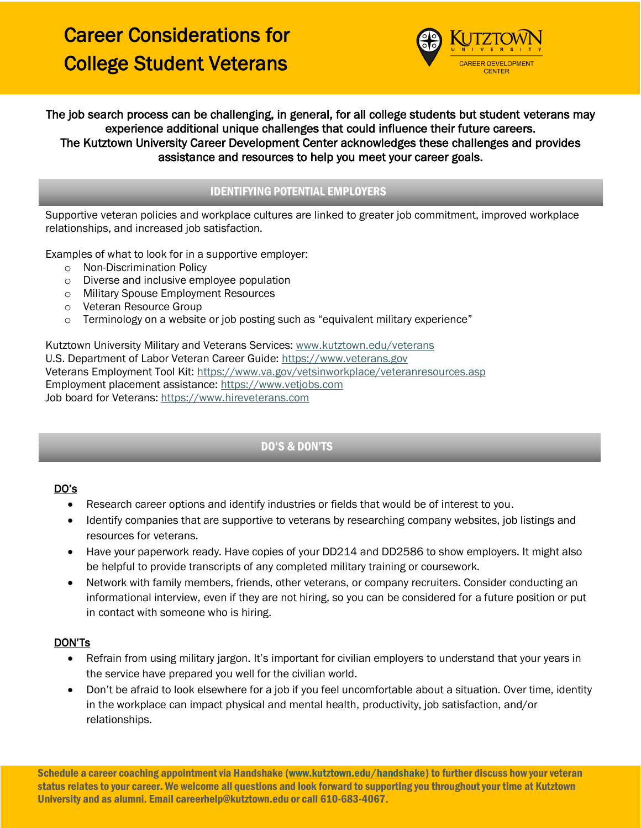

The job search process can be challenging, in general, for all college students but student veterans may experience additional unique challenges that could influence their future careers. The Kutztown University Career Development Center acknowledges these challenges and provides assistance and resources to help you meet your career goals.

## IDENTIFYING POTENTIAL EMPLOYERS

Supportive veteran policies and workplace cultures are linked to greater job commitment, improved workplace relationships, and increased job satisfaction.

Examples of what to look for in a supportive employer:

- o Non-Discrimination Policy
- o Diverse and inclusive employee population
- o Military Spouse Employment Resources
- o Veteran Resource Group
- $\circ$  Terminology on a website or job posting such as "equivalent military experience"

Kutztown University Military and Veterans Services: [www.kutztown.edu/veterans](http://www.kutztown.edu/veterans) U.S. Department of Labor Veteran Career Guide: [https://www.veterans.gov](https://www.veterans.gov/) Veterans Employment Tool Kit:<https://www.va.gov/vetsinworkplace/veteranresources.asp> Employment placement assistance: [https://www.vetjobs.com](https://www.vetjobs.com/) Job board for Veterans: [https://www.hireveterans.com](https://www.hireveterans.com/)

# DO'S & DON'TS

#### DO's

- Research career options and identify industries or fields that would be of interest to you.
- Identify companies that are supportive to veterans by researching company websites, job listings and resources for veterans.
- Have your paperwork ready. Have copies of your DD214 and DD2586 to show employers. It might also be helpful to provide transcripts of any completed military training or coursework.
- Network with family members, friends, other veterans, or company recruiters. Consider conducting an informational interview, even if they are not hiring, so you can be considered for a future position or put in contact with someone who is hiring.

#### DON'Ts

- Refrain from using military jargon. It's important for civilian employers to understand that your years in the service have prepared you well for the civilian world.
- Don't be afraid to look elsewhere for a job if you feel uncomfortable about a situation. Over time, identity in the workplace can impact physical and mental health, productivity, job satisfaction, and/or relationships.

Schedule a career coaching appointment via Handshake [\(www.kutztown.edu/handshake\)](http://www.kutztown.edu/handshake) to further discuss how your veteran status relates to your career. We welcome all questions and look forward to supporting you throughout your time at Kutztown University and as alumni. Email careerhelp@kutztown.edu or call 610-683-4067.